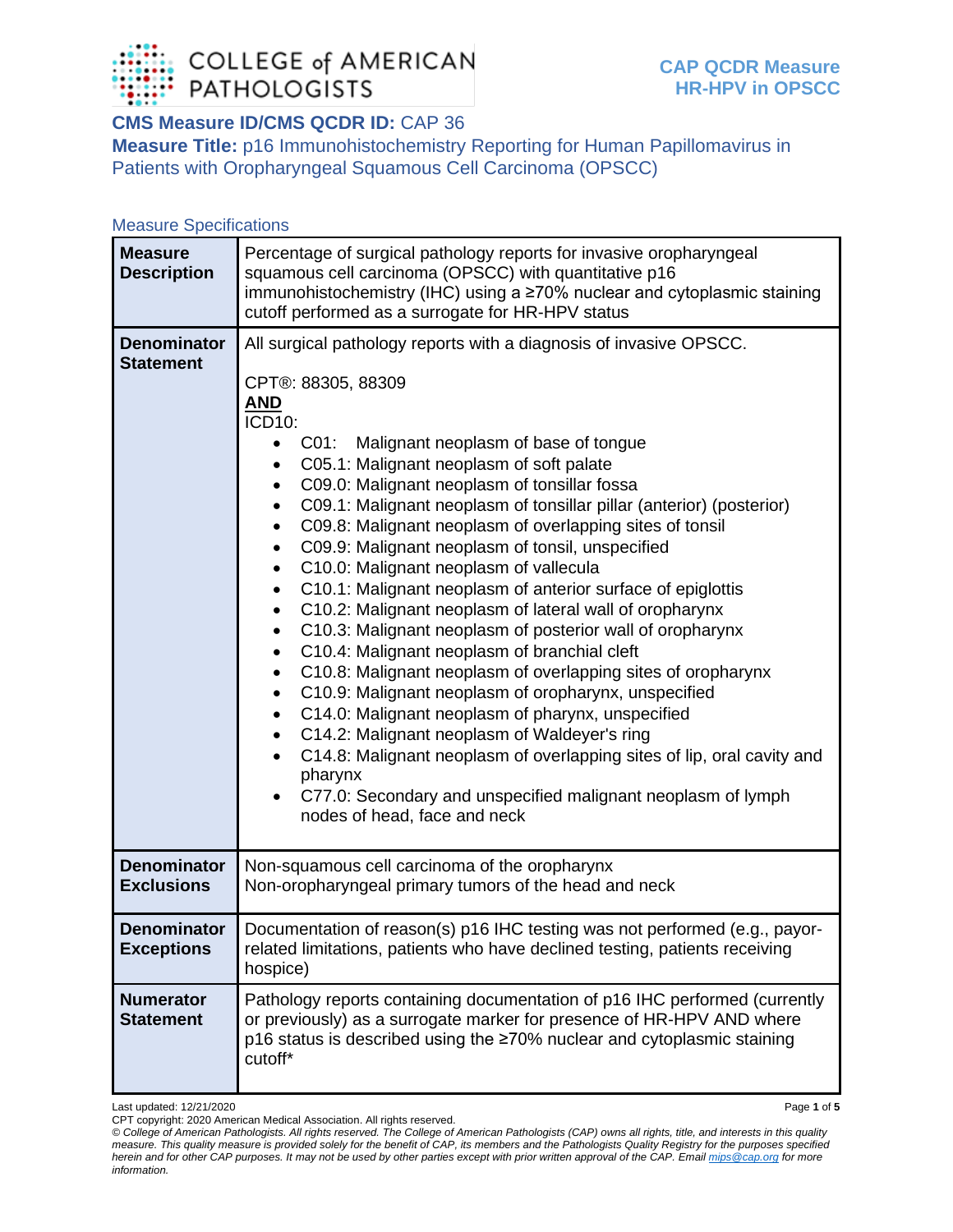

## **CMS Measure ID/CMS QCDR ID:** CAP 36

**Measure Title:** p16 Immunohistochemistry Reporting for Human Papillomavirus in Patients with Oropharyngeal Squamous Cell Carcinoma (OPSCC)

## Measure Specifications

| <b>Measure</b><br><b>Description</b>    | Percentage of surgical pathology reports for invasive oropharyngeal<br>squamous cell carcinoma (OPSCC) with quantitative p16<br>immunohistochemistry (IHC) using a ≥70% nuclear and cytoplasmic staining<br>cutoff performed as a surrogate for HR-HPV status                                                                                                                                                                                                                                                                                                                                                                                                                                                                                                                                                                                                                                                                                                                                                                                                                                                                                                                                                                                                                                                                                   |
|-----------------------------------------|-------------------------------------------------------------------------------------------------------------------------------------------------------------------------------------------------------------------------------------------------------------------------------------------------------------------------------------------------------------------------------------------------------------------------------------------------------------------------------------------------------------------------------------------------------------------------------------------------------------------------------------------------------------------------------------------------------------------------------------------------------------------------------------------------------------------------------------------------------------------------------------------------------------------------------------------------------------------------------------------------------------------------------------------------------------------------------------------------------------------------------------------------------------------------------------------------------------------------------------------------------------------------------------------------------------------------------------------------|
| <b>Denominator</b><br><b>Statement</b>  | All surgical pathology reports with a diagnosis of invasive OPSCC.<br>CPT®: 88305, 88309<br><u>AND</u><br>ICD10:<br>C01: Malignant neoplasm of base of tongue<br>C05.1: Malignant neoplasm of soft palate<br>$\bullet$<br>C09.0: Malignant neoplasm of tonsillar fossa<br>$\bullet$<br>C09.1: Malignant neoplasm of tonsillar pillar (anterior) (posterior)<br>$\bullet$<br>C09.8: Malignant neoplasm of overlapping sites of tonsil<br>$\bullet$<br>C09.9: Malignant neoplasm of tonsil, unspecified<br>$\bullet$<br>C10.0: Malignant neoplasm of vallecula<br>$\bullet$<br>C10.1: Malignant neoplasm of anterior surface of epiglottis<br>$\bullet$<br>C10.2: Malignant neoplasm of lateral wall of oropharynx<br>$\bullet$<br>C10.3: Malignant neoplasm of posterior wall of oropharynx<br>$\bullet$<br>C10.4: Malignant neoplasm of branchial cleft<br>٠<br>C10.8: Malignant neoplasm of overlapping sites of oropharynx<br>$\bullet$<br>C10.9: Malignant neoplasm of oropharynx, unspecified<br>$\bullet$<br>C14.0: Malignant neoplasm of pharynx, unspecified<br>$\bullet$<br>C14.2: Malignant neoplasm of Waldeyer's ring<br>$\bullet$<br>C14.8: Malignant neoplasm of overlapping sites of lip, oral cavity and<br>$\bullet$<br>pharynx<br>C77.0: Secondary and unspecified malignant neoplasm of lymph<br>nodes of head, face and neck |
| <b>Denominator</b><br><b>Exclusions</b> | Non-squamous cell carcinoma of the oropharynx<br>Non-oropharyngeal primary tumors of the head and neck                                                                                                                                                                                                                                                                                                                                                                                                                                                                                                                                                                                                                                                                                                                                                                                                                                                                                                                                                                                                                                                                                                                                                                                                                                          |
| <b>Denominator</b><br><b>Exceptions</b> | Documentation of reason(s) p16 IHC testing was not performed (e.g., payor-<br>related limitations, patients who have declined testing, patients receiving<br>hospice)                                                                                                                                                                                                                                                                                                                                                                                                                                                                                                                                                                                                                                                                                                                                                                                                                                                                                                                                                                                                                                                                                                                                                                           |
| <b>Numerator</b><br><b>Statement</b>    | Pathology reports containing documentation of p16 IHC performed (currently<br>or previously) as a surrogate marker for presence of HR-HPV AND where<br>p16 status is described using the ≥70% nuclear and cytoplasmic staining<br>cutoff*                                                                                                                                                                                                                                                                                                                                                                                                                                                                                                                                                                                                                                                                                                                                                                                                                                                                                                                                                                                                                                                                                                       |

Last updated: 12/21/2020 Page **1** of **5**

CPT copyright: 2020 American Medical Association. All rights reserved.

*© College of American Pathologists. All rights reserved. The College of American Pathologists (CAP) owns all rights, title, and interests in this quality measure. This quality measure is provided solely for the benefit of CAP, its members and the Pathologists Quality Registry for the purposes specified herein and for other CAP purposes. It may not be used by other parties except with prior written approval of the CAP. Emai[l mips@cap.org](mailto:mips@cap.org) for more information.*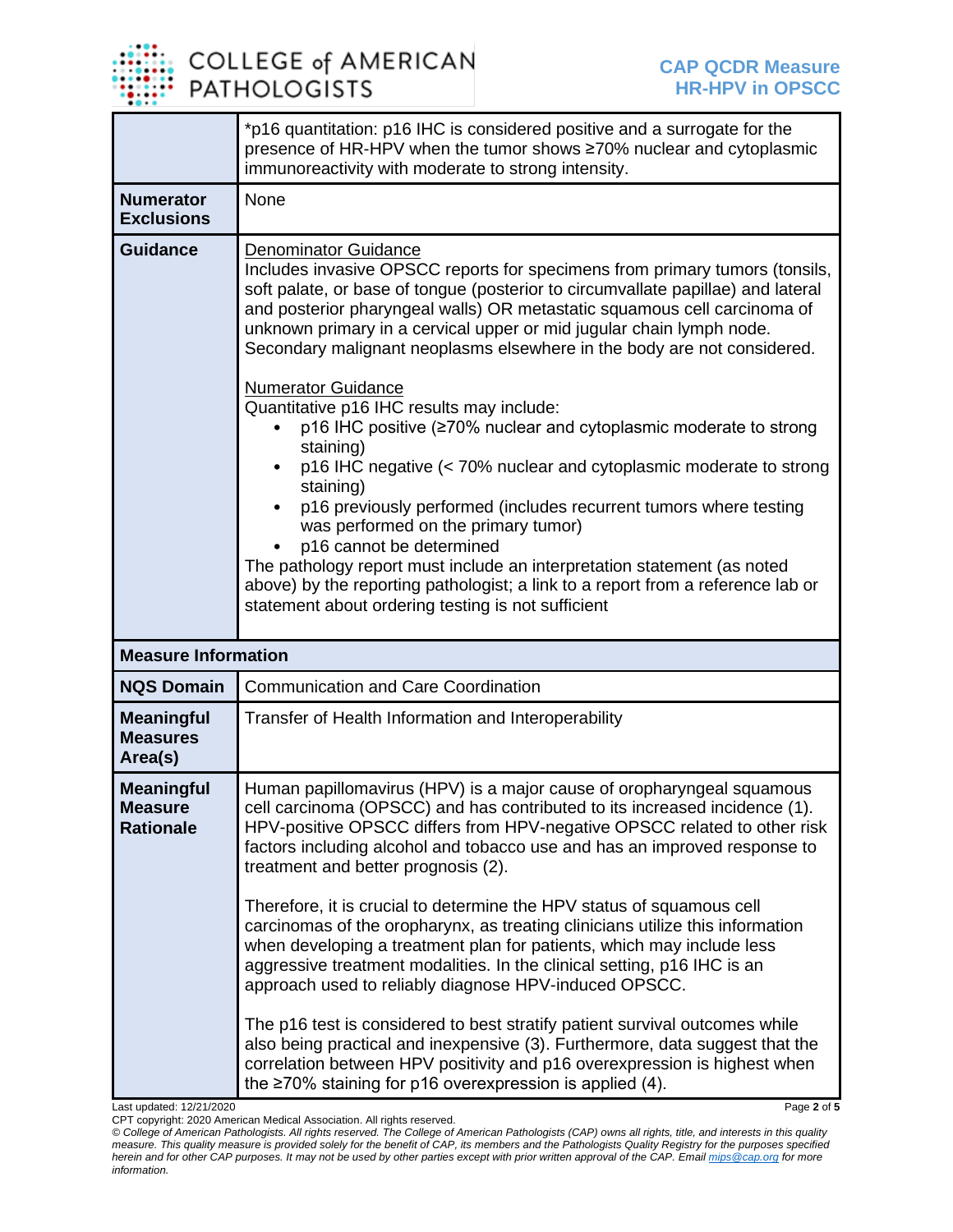

|                                                         | *p16 quantitation: p16 IHC is considered positive and a surrogate for the<br>presence of HR-HPV when the tumor shows ≥70% nuclear and cytoplasmic<br>immunoreactivity with moderate to strong intensity.                                                                                                                                                                                                                                                                                                                                                                                                                                                                                                                                                                                                                                                                                                                                                                                                                                 |  |
|---------------------------------------------------------|------------------------------------------------------------------------------------------------------------------------------------------------------------------------------------------------------------------------------------------------------------------------------------------------------------------------------------------------------------------------------------------------------------------------------------------------------------------------------------------------------------------------------------------------------------------------------------------------------------------------------------------------------------------------------------------------------------------------------------------------------------------------------------------------------------------------------------------------------------------------------------------------------------------------------------------------------------------------------------------------------------------------------------------|--|
| <b>Numerator</b><br><b>Exclusions</b>                   | None                                                                                                                                                                                                                                                                                                                                                                                                                                                                                                                                                                                                                                                                                                                                                                                                                                                                                                                                                                                                                                     |  |
| <b>Guidance</b>                                         | <b>Denominator Guidance</b><br>Includes invasive OPSCC reports for specimens from primary tumors (tonsils,<br>soft palate, or base of tongue (posterior to circumvallate papillae) and lateral<br>and posterior pharyngeal walls) OR metastatic squamous cell carcinoma of<br>unknown primary in a cervical upper or mid jugular chain lymph node.<br>Secondary malignant neoplasms elsewhere in the body are not considered.<br><b>Numerator Guidance</b><br>Quantitative p16 IHC results may include:<br>p16 IHC positive (≥70% nuclear and cytoplasmic moderate to strong<br>staining)<br>p16 IHC negative (< 70% nuclear and cytoplasmic moderate to strong<br>staining)<br>p16 previously performed (includes recurrent tumors where testing<br>was performed on the primary tumor)<br>p16 cannot be determined<br>The pathology report must include an interpretation statement (as noted<br>above) by the reporting pathologist; a link to a report from a reference lab or<br>statement about ordering testing is not sufficient |  |
| <b>Measure Information</b>                              |                                                                                                                                                                                                                                                                                                                                                                                                                                                                                                                                                                                                                                                                                                                                                                                                                                                                                                                                                                                                                                          |  |
| <b>NQS Domain</b>                                       | <b>Communication and Care Coordination</b>                                                                                                                                                                                                                                                                                                                                                                                                                                                                                                                                                                                                                                                                                                                                                                                                                                                                                                                                                                                               |  |
| <b>Meaningful</b><br><b>Measures</b><br>Area(s)         | Transfer of Health Information and Interoperability                                                                                                                                                                                                                                                                                                                                                                                                                                                                                                                                                                                                                                                                                                                                                                                                                                                                                                                                                                                      |  |
| <b>Meaningful</b><br><b>Measure</b><br><b>Rationale</b> | Human papillomavirus (HPV) is a major cause of oropharyngeal squamous<br>cell carcinoma (OPSCC) and has contributed to its increased incidence (1).<br>HPV-positive OPSCC differs from HPV-negative OPSCC related to other risk<br>factors including alcohol and tobacco use and has an improved response to<br>treatment and better prognosis (2).<br>Therefore, it is crucial to determine the HPV status of squamous cell<br>carcinomas of the oropharynx, as treating clinicians utilize this information<br>when developing a treatment plan for patients, which may include less<br>aggressive treatment modalities. In the clinical setting, p16 IHC is an<br>approach used to reliably diagnose HPV-induced OPSCC.<br>The p16 test is considered to best stratify patient survival outcomes while<br>also being practical and inexpensive (3). Furthermore, data suggest that the<br>correlation between HPV positivity and p16 overexpression is highest when<br>the $\geq$ 70% staining for p16 overexpression is applied (4). |  |

Last updated: 12/21/2020 Page **2** of **5** CPT copyright: 2020 American Medical Association. All rights reserved. *© College of American Pathologists. All rights reserved. The College of American Pathologists (CAP) owns all rights, title, and interests in this quality measure. This quality measure is provided solely for the benefit of CAP, its members and the Pathologists Quality Registry for the purposes specified herein and for other CAP purposes. It may not be used by other parties except with prior written approval of the CAP. Emai[l mips@cap.org](mailto:mips@cap.org) for more information.*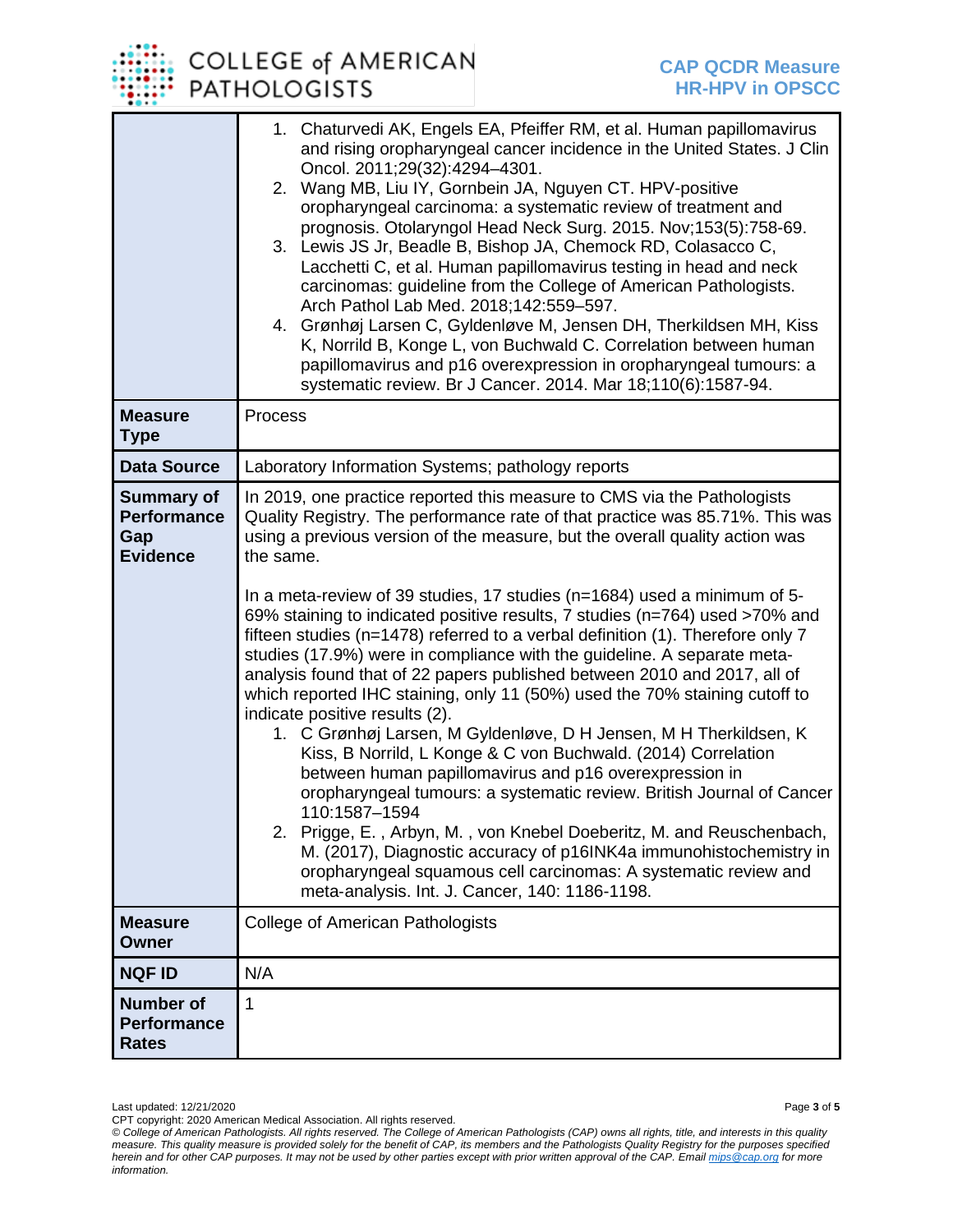## COLLEGE of AMERICAN **PATHOLOGISTS**

|                                                                   | 1. Chaturvedi AK, Engels EA, Pfeiffer RM, et al. Human papillomavirus<br>and rising oropharyngeal cancer incidence in the United States. J Clin<br>Oncol. 2011;29(32):4294-4301.<br>2. Wang MB, Liu IY, Gornbein JA, Nguyen CT. HPV-positive<br>oropharyngeal carcinoma: a systematic review of treatment and<br>prognosis. Otolaryngol Head Neck Surg. 2015. Nov;153(5):758-69.<br>3. Lewis JS Jr, Beadle B, Bishop JA, Chemock RD, Colasacco C,<br>Lacchetti C, et al. Human papillomavirus testing in head and neck<br>carcinomas: guideline from the College of American Pathologists.<br>Arch Pathol Lab Med. 2018;142:559-597.<br>4. Grønhøj Larsen C, Gyldenløve M, Jensen DH, Therkildsen MH, Kiss<br>K, Norrild B, Konge L, von Buchwald C. Correlation between human<br>papillomavirus and p16 overexpression in oropharyngeal tumours: a<br>systematic review. Br J Cancer. 2014. Mar 18;110(6):1587-94.                                                                                                                                                                                                                                                                                                                                                                                                                     |
|-------------------------------------------------------------------|-----------------------------------------------------------------------------------------------------------------------------------------------------------------------------------------------------------------------------------------------------------------------------------------------------------------------------------------------------------------------------------------------------------------------------------------------------------------------------------------------------------------------------------------------------------------------------------------------------------------------------------------------------------------------------------------------------------------------------------------------------------------------------------------------------------------------------------------------------------------------------------------------------------------------------------------------------------------------------------------------------------------------------------------------------------------------------------------------------------------------------------------------------------------------------------------------------------------------------------------------------------------------------------------------------------------------------------------|
| <b>Measure</b><br><b>Type</b>                                     | Process                                                                                                                                                                                                                                                                                                                                                                                                                                                                                                                                                                                                                                                                                                                                                                                                                                                                                                                                                                                                                                                                                                                                                                                                                                                                                                                                 |
| <b>Data Source</b>                                                | Laboratory Information Systems; pathology reports                                                                                                                                                                                                                                                                                                                                                                                                                                                                                                                                                                                                                                                                                                                                                                                                                                                                                                                                                                                                                                                                                                                                                                                                                                                                                       |
| <b>Summary of</b><br><b>Performance</b><br>Gap<br><b>Evidence</b> | In 2019, one practice reported this measure to CMS via the Pathologists<br>Quality Registry. The performance rate of that practice was 85.71%. This was<br>using a previous version of the measure, but the overall quality action was<br>the same.<br>In a meta-review of 39 studies, 17 studies (n=1684) used a minimum of 5-<br>69% staining to indicated positive results, 7 studies (n=764) used >70% and<br>fifteen studies (n=1478) referred to a verbal definition (1). Therefore only 7<br>studies (17.9%) were in compliance with the guideline. A separate meta-<br>analysis found that of 22 papers published between 2010 and 2017, all of<br>which reported IHC staining, only 11 (50%) used the 70% staining cutoff to<br>indicate positive results (2).<br>1. C Grønhøj Larsen, M Gyldenløve, D H Jensen, M H Therkildsen, K<br>Kiss, B Norrild, L Konge & C von Buchwald. (2014) Correlation<br>between human papillomavirus and p16 overexpression in<br>oropharyngeal tumours: a systematic review. British Journal of Cancer<br>110:1587-1594<br>Prigge, E., Arbyn, M., von Knebel Doeberitz, M. and Reuschenbach,<br>2.<br>M. (2017), Diagnostic accuracy of p16INK4a immunohistochemistry in<br>oropharyngeal squamous cell carcinomas: A systematic review and<br>meta-analysis. Int. J. Cancer, 140: 1186-1198. |
| <b>Measure</b><br><b>Owner</b>                                    | <b>College of American Pathologists</b>                                                                                                                                                                                                                                                                                                                                                                                                                                                                                                                                                                                                                                                                                                                                                                                                                                                                                                                                                                                                                                                                                                                                                                                                                                                                                                 |
| <b>NQF ID</b>                                                     | N/A                                                                                                                                                                                                                                                                                                                                                                                                                                                                                                                                                                                                                                                                                                                                                                                                                                                                                                                                                                                                                                                                                                                                                                                                                                                                                                                                     |
| <b>Number of</b><br><b>Performance</b><br><b>Rates</b>            | 1                                                                                                                                                                                                                                                                                                                                                                                                                                                                                                                                                                                                                                                                                                                                                                                                                                                                                                                                                                                                                                                                                                                                                                                                                                                                                                                                       |

Last updated: 12/21/2020 Page **3** of **5** CPT copyright: 2020 American Medical Association. All rights reserved.

*<sup>©</sup> College of American Pathologists. All rights reserved. The College of American Pathologists (CAP) owns all rights, title, and interests in this quality measure. This quality measure is provided solely for the benefit of CAP, its members and the Pathologists Quality Registry for the purposes specified herein and for other CAP purposes. It may not be used by other parties except with prior written approval of the CAP. Emai[l mips@cap.org](mailto:mips@cap.org) for more information.*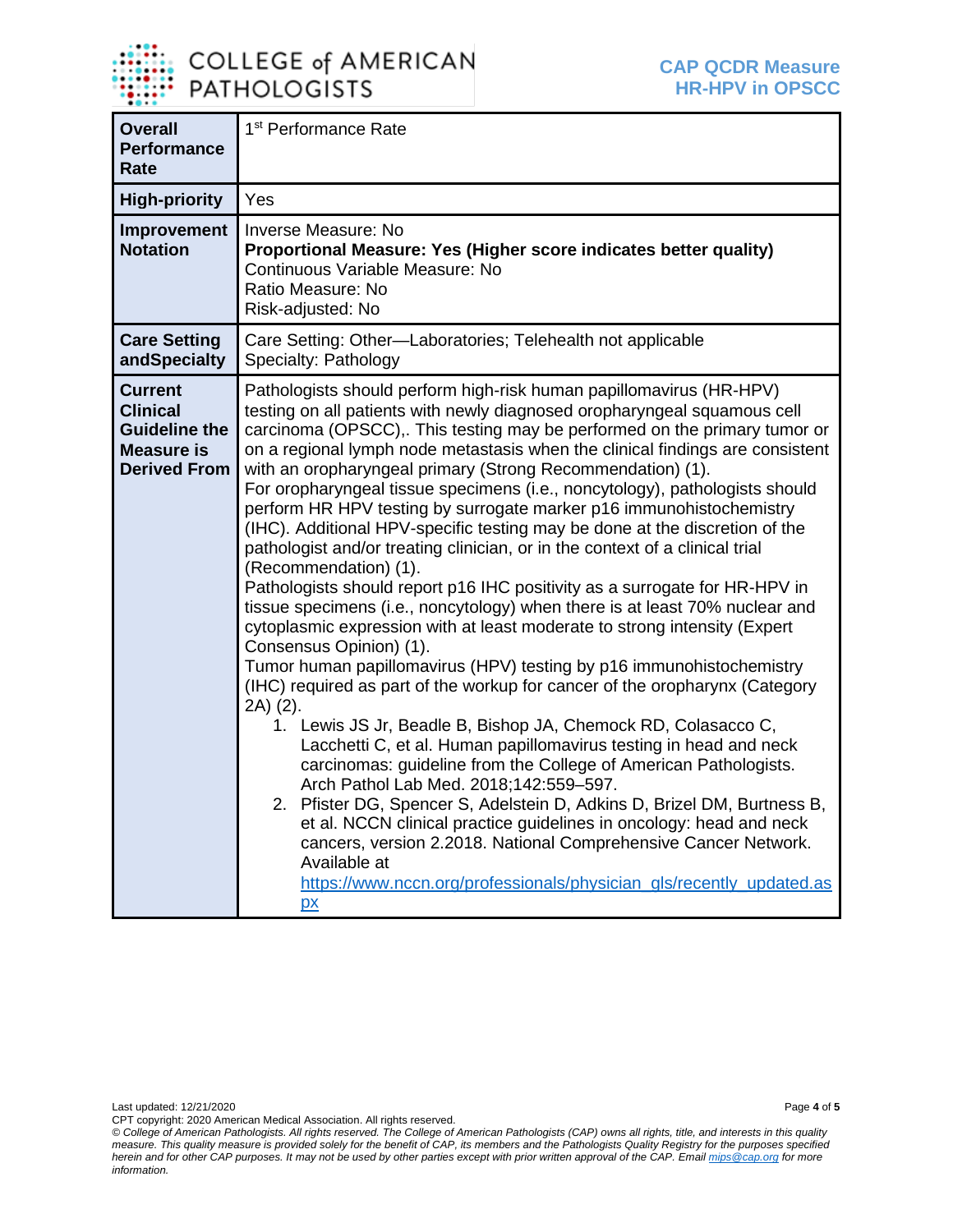

| <b>Overall</b><br><b>Performance</b><br>Rate                                                          | 1 <sup>st</sup> Performance Rate                                                                                                                                                                                                                                                                                                                                                                                                                                                                                                                                                                                                                                                                                                                                                                                                                                                                                                                                                                                                                                                                                                                                                                                                                                                                                                                                                                                                                                                                                                                                                                                                                                                                                                                   |
|-------------------------------------------------------------------------------------------------------|----------------------------------------------------------------------------------------------------------------------------------------------------------------------------------------------------------------------------------------------------------------------------------------------------------------------------------------------------------------------------------------------------------------------------------------------------------------------------------------------------------------------------------------------------------------------------------------------------------------------------------------------------------------------------------------------------------------------------------------------------------------------------------------------------------------------------------------------------------------------------------------------------------------------------------------------------------------------------------------------------------------------------------------------------------------------------------------------------------------------------------------------------------------------------------------------------------------------------------------------------------------------------------------------------------------------------------------------------------------------------------------------------------------------------------------------------------------------------------------------------------------------------------------------------------------------------------------------------------------------------------------------------------------------------------------------------------------------------------------------------|
| <b>High-priority</b>                                                                                  | Yes                                                                                                                                                                                                                                                                                                                                                                                                                                                                                                                                                                                                                                                                                                                                                                                                                                                                                                                                                                                                                                                                                                                                                                                                                                                                                                                                                                                                                                                                                                                                                                                                                                                                                                                                                |
| Improvement<br><b>Notation</b>                                                                        | Inverse Measure: No<br>Proportional Measure: Yes (Higher score indicates better quality)<br>Continuous Variable Measure: No<br>Ratio Measure: No<br>Risk-adjusted: No                                                                                                                                                                                                                                                                                                                                                                                                                                                                                                                                                                                                                                                                                                                                                                                                                                                                                                                                                                                                                                                                                                                                                                                                                                                                                                                                                                                                                                                                                                                                                                              |
| <b>Care Setting</b><br>andSpecialty                                                                   | Care Setting: Other-Laboratories; Telehealth not applicable<br>Specialty: Pathology                                                                                                                                                                                                                                                                                                                                                                                                                                                                                                                                                                                                                                                                                                                                                                                                                                                                                                                                                                                                                                                                                                                                                                                                                                                                                                                                                                                                                                                                                                                                                                                                                                                                |
| <b>Current</b><br><b>Clinical</b><br><b>Guideline the</b><br><b>Measure is</b><br><b>Derived From</b> | Pathologists should perform high-risk human papillomavirus (HR-HPV)<br>testing on all patients with newly diagnosed oropharyngeal squamous cell<br>carcinoma (OPSCC),. This testing may be performed on the primary tumor or<br>on a regional lymph node metastasis when the clinical findings are consistent<br>with an oropharyngeal primary (Strong Recommendation) (1).<br>For oropharyngeal tissue specimens (i.e., noncytology), pathologists should<br>perform HR HPV testing by surrogate marker p16 immunohistochemistry<br>(IHC). Additional HPV-specific testing may be done at the discretion of the<br>pathologist and/or treating clinician, or in the context of a clinical trial<br>(Recommendation) (1).<br>Pathologists should report p16 IHC positivity as a surrogate for HR-HPV in<br>tissue specimens (i.e., noncytology) when there is at least 70% nuclear and<br>cytoplasmic expression with at least moderate to strong intensity (Expert<br>Consensus Opinion) (1).<br>Tumor human papillomavirus (HPV) testing by p16 immunohistochemistry<br>(IHC) required as part of the workup for cancer of the oropharynx (Category<br>2A) (2).<br>1. Lewis JS Jr, Beadle B, Bishop JA, Chemock RD, Colasacco C,<br>Lacchetti C, et al. Human papillomavirus testing in head and neck<br>carcinomas: guideline from the College of American Pathologists.<br>Arch Pathol Lab Med. 2018;142:559-597.<br>2. Pfister DG, Spencer S, Adelstein D, Adkins D, Brizel DM, Burtness B,<br>et al. NCCN clinical practice guidelines in oncology: head and neck<br>cancers, version 2.2018. National Comprehensive Cancer Network.<br>Available at<br>https://www.nccn.org/professionals/physician gls/recently updated.as<br>$\mathbf{p}$ |

Last updated: 12/21/2020 Page **4** of **5** CPT copyright: 2020 American Medical Association. All rights reserved.

*<sup>©</sup> College of American Pathologists. All rights reserved. The College of American Pathologists (CAP) owns all rights, title, and interests in this quality measure. This quality measure is provided solely for the benefit of CAP, its members and the Pathologists Quality Registry for the purposes specified herein and for other CAP purposes. It may not be used by other parties except with prior written approval of the CAP. Emai[l mips@cap.org](mailto:mips@cap.org) for more information.*